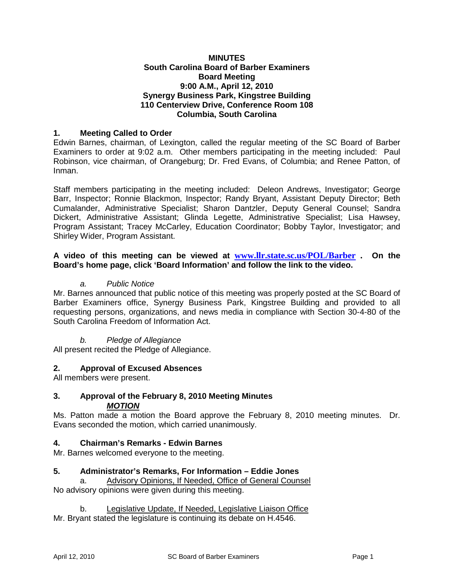#### **MINUTES South Carolina Board of Barber Examiners Board Meeting 9:00 A.M., April 12, 2010 Synergy Business Park, Kingstree Building 110 Centerview Drive, Conference Room 108 Columbia, South Carolina**

## **1. Meeting Called to Order**

Edwin Barnes, chairman, of Lexington, called the regular meeting of the SC Board of Barber Examiners to order at 9:02 a.m. Other members participating in the meeting included: Paul Robinson, vice chairman, of Orangeburg; Dr. Fred Evans, of Columbia; and Renee Patton, of Inman.

Staff members participating in the meeting included: Deleon Andrews, Investigator; George Barr, Inspector; Ronnie Blackmon, Inspector; Randy Bryant, Assistant Deputy Director; Beth Cumalander, Administrative Specialist; Sharon Dantzler, Deputy General Counsel; Sandra Dickert, Administrative Assistant; Glinda Legette, Administrative Specialist; Lisa Hawsey, Program Assistant; Tracey McCarley, Education Coordinator; Bobby Taylor, Investigator; and Shirley Wider, Program Assistant.

#### **A video of this meeting can be viewed at [www.llr.state.sc.us/POL/Barber](http://www.llr.state.sc.us/POL/Barber) . On the Board's home page, click 'Board Information' and follow the link to the video.**

#### *a. Public Notice*

Mr. Barnes announced that public notice of this meeting was properly posted at the SC Board of Barber Examiners office, Synergy Business Park, Kingstree Building and provided to all requesting persons, organizations, and news media in compliance with Section 30-4-80 of the South Carolina Freedom of Information Act.

## *b. Pledge of Allegiance*

All present recited the Pledge of Allegiance.

## **2. Approval of Excused Absences**

All members were present.

#### **3. Approval of the February 8, 2010 Meeting Minutes** *MOTION*

Ms. Patton made a motion the Board approve the February 8, 2010 meeting minutes. Dr. Evans seconded the motion, which carried unanimously.

## **4. Chairman's Remarks - Edwin Barnes**

Mr. Barnes welcomed everyone to the meeting.

#### **5. Administrator's Remarks, For Information – Eddie Jones**

Advisory Opinions, If Needed, Office of General Counsel No advisory opinions were given during this meeting.

b. Legislative Update, If Needed, Legislative Liaison Office

Mr. Bryant stated the legislature is continuing its debate on H.4546.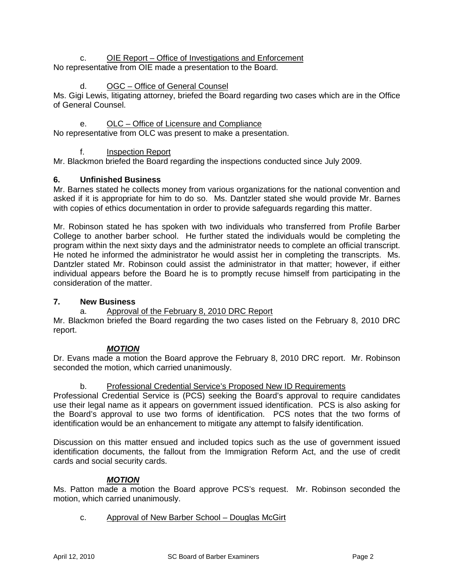## c. **OIE Report – Office of Investigations and Enforcement** No representative from OIE made a presentation to the Board.

# d. OGC – Office of General Counsel

Ms. Gigi Lewis, litigating attorney, briefed the Board regarding two cases which are in the Office of General Counsel.

e. OLC – Office of Licensure and Compliance

No representative from OLC was present to make a presentation.

f. Inspection Report

Mr. Blackmon briefed the Board regarding the inspections conducted since July 2009.

## **6. Unfinished Business**

Mr. Barnes stated he collects money from various organizations for the national convention and asked if it is appropriate for him to do so. Ms. Dantzler stated she would provide Mr. Barnes with copies of ethics documentation in order to provide safeguards regarding this matter.

Mr. Robinson stated he has spoken with two individuals who transferred from Profile Barber College to another barber school. He further stated the individuals would be completing the program within the next sixty days and the administrator needs to complete an official transcript. He noted he informed the administrator he would assist her in completing the transcripts. Ms. Dantzler stated Mr. Robinson could assist the administrator in that matter; however, if either individual appears before the Board he is to promptly recuse himself from participating in the consideration of the matter.

## **7. New Business**

## a. Approval of the February 8, 2010 DRC Report

Mr. Blackmon briefed the Board regarding the two cases listed on the February 8, 2010 DRC report.

# *MOTION*

Dr. Evans made a motion the Board approve the February 8, 2010 DRC report. Mr. Robinson seconded the motion, which carried unanimously.

## b. Professional Credential Service's Proposed New ID Requirements

Professional Credential Service is (PCS) seeking the Board's approval to require candidates use their legal name as it appears on government issued identification. PCS is also asking for the Board's approval to use two forms of identification. PCS notes that the two forms of identification would be an enhancement to mitigate any attempt to falsify identification.

Discussion on this matter ensued and included topics such as the use of government issued identification documents, the fallout from the Immigration Reform Act, and the use of credit cards and social security cards.

# *MOTION*

Ms. Patton made a motion the Board approve PCS's request. Mr. Robinson seconded the motion, which carried unanimously.

c. Approval of New Barber School – Douglas McGirt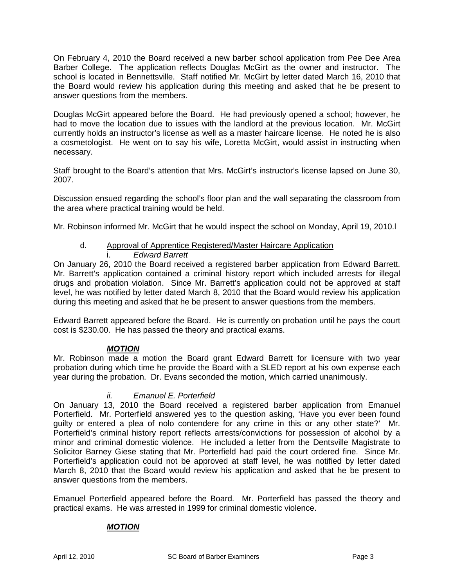On February 4, 2010 the Board received a new barber school application from Pee Dee Area Barber College. The application reflects Douglas McGirt as the owner and instructor. The school is located in Bennettsville. Staff notified Mr. McGirt by letter dated March 16, 2010 that the Board would review his application during this meeting and asked that he be present to answer questions from the members.

Douglas McGirt appeared before the Board. He had previously opened a school; however, he had to move the location due to issues with the landlord at the previous location. Mr. McGirt currently holds an instructor's license as well as a master haircare license. He noted he is also a cosmetologist. He went on to say his wife, Loretta McGirt, would assist in instructing when necessary.

Staff brought to the Board's attention that Mrs. McGirt's instructor's license lapsed on June 30, 2007.

Discussion ensued regarding the school's floor plan and the wall separating the classroom from the area where practical training would be held.

Mr. Robinson informed Mr. McGirt that he would inspect the school on Monday, April 19, 2010.l

# d. Approval of Apprentice Registered/Master Haircare Application

#### i. *Edward Barrett*

On January 26, 2010 the Board received a registered barber application from Edward Barrett. Mr. Barrett's application contained a criminal history report which included arrests for illegal drugs and probation violation. Since Mr. Barrett's application could not be approved at staff level, he was notified by letter dated March 8, 2010 that the Board would review his application during this meeting and asked that he be present to answer questions from the members.

Edward Barrett appeared before the Board. He is currently on probation until he pays the court cost is \$230.00. He has passed the theory and practical exams.

## *MOTION*

Mr. Robinson made a motion the Board grant Edward Barrett for licensure with two year probation during which time he provide the Board with a SLED report at his own expense each year during the probation. Dr. Evans seconded the motion, which carried unanimously.

## *ii. Emanuel E. Porterfield*

On January 13, 2010 the Board received a registered barber application from Emanuel Porterfield. Mr. Porterfield answered yes to the question asking, 'Have you ever been found guilty or entered a plea of nolo contendere for any crime in this or any other state?' Mr. Porterfield's criminal history report reflects arrests/convictions for possession of alcohol by a minor and criminal domestic violence. He included a letter from the Dentsville Magistrate to Solicitor Barney Giese stating that Mr. Porterfield had paid the court ordered fine. Since Mr. Porterfield's application could not be approved at staff level, he was notified by letter dated March 8, 2010 that the Board would review his application and asked that he be present to answer questions from the members.

Emanuel Porterfield appeared before the Board. Mr. Porterfield has passed the theory and practical exams. He was arrested in 1999 for criminal domestic violence.

## *MOTION*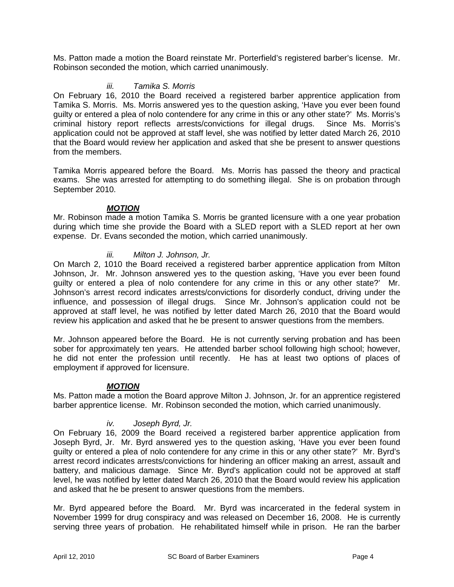Ms. Patton made a motion the Board reinstate Mr. Porterfield's registered barber's license. Mr. Robinson seconded the motion, which carried unanimously.

#### *iii. Tamika S. Morris*

On February 16, 2010 the Board received a registered barber apprentice application from Tamika S. Morris. Ms. Morris answered yes to the question asking, 'Have you ever been found guilty or entered a plea of nolo contendere for any crime in this or any other state?' Ms. Morris's criminal history report reflects arrests/convictions for illegal drugs. Since Ms. Morris's application could not be approved at staff level, she was notified by letter dated March 26, 2010 that the Board would review her application and asked that she be present to answer questions from the members.

Tamika Morris appeared before the Board. Ms. Morris has passed the theory and practical exams. She was arrested for attempting to do something illegal. She is on probation through September 2010.

#### *MOTION*

Mr. Robinson made a motion Tamika S. Morris be granted licensure with a one year probation during which time she provide the Board with a SLED report with a SLED report at her own expense. Dr. Evans seconded the motion, which carried unanimously.

## *iii. Milton J. Johnson, Jr.*

On March 2, 1010 the Board received a registered barber apprentice application from Milton Johnson, Jr. Mr. Johnson answered yes to the question asking, 'Have you ever been found guilty or entered a plea of nolo contendere for any crime in this or any other state?' Mr. Johnson's arrest record indicates arrests/convictions for disorderly conduct, driving under the influence, and possession of illegal drugs. Since Mr. Johnson's application could not be approved at staff level, he was notified by letter dated March 26, 2010 that the Board would review his application and asked that he be present to answer questions from the members.

Mr. Johnson appeared before the Board. He is not currently serving probation and has been sober for approximately ten years. He attended barber school following high school; however, he did not enter the profession until recently. He has at least two options of places of employment if approved for licensure.

#### *MOTION*

Ms. Patton made a motion the Board approve Milton J. Johnson, Jr. for an apprentice registered barber apprentice license. Mr. Robinson seconded the motion, which carried unanimously.

## *iv. Joseph Byrd, Jr.*

On February 16, 2009 the Board received a registered barber apprentice application from Joseph Byrd, Jr. Mr. Byrd answered yes to the question asking, 'Have you ever been found guilty or entered a plea of nolo contendere for any crime in this or any other state?' Mr. Byrd's arrest record indicates arrests/convictions for hindering an officer making an arrest, assault and battery, and malicious damage. Since Mr. Byrd's application could not be approved at staff level, he was notified by letter dated March 26, 2010 that the Board would review his application and asked that he be present to answer questions from the members.

Mr. Byrd appeared before the Board. Mr. Byrd was incarcerated in the federal system in November 1999 for drug conspiracy and was released on December 16, 2008. He is currently serving three years of probation. He rehabilitated himself while in prison. He ran the barber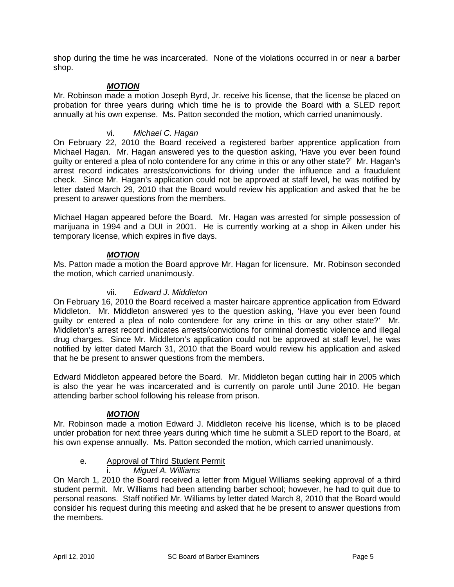shop during the time he was incarcerated. None of the violations occurred in or near a barber shop.

## *MOTION*

Mr. Robinson made a motion Joseph Byrd, Jr. receive his license, that the license be placed on probation for three years during which time he is to provide the Board with a SLED report annually at his own expense. Ms. Patton seconded the motion, which carried unanimously.

#### vi. *Michael C. Hagan*

On February 22, 2010 the Board received a registered barber apprentice application from Michael Hagan. Mr. Hagan answered yes to the question asking, 'Have you ever been found guilty or entered a plea of nolo contendere for any crime in this or any other state?' Mr. Hagan's arrest record indicates arrests/convictions for driving under the influence and a fraudulent check. Since Mr. Hagan's application could not be approved at staff level, he was notified by letter dated March 29, 2010 that the Board would review his application and asked that he be present to answer questions from the members.

Michael Hagan appeared before the Board. Mr. Hagan was arrested for simple possession of marijuana in 1994 and a DUI in 2001. He is currently working at a shop in Aiken under his temporary license, which expires in five days.

## *MOTION*

Ms. Patton made a motion the Board approve Mr. Hagan for licensure. Mr. Robinson seconded the motion, which carried unanimously.

#### vii. *Edward J. Middleton*

On February 16, 2010 the Board received a master haircare apprentice application from Edward Middleton. Mr. Middleton answered yes to the question asking, 'Have you ever been found guilty or entered a plea of nolo contendere for any crime in this or any other state?' Mr. Middleton's arrest record indicates arrests/convictions for criminal domestic violence and illegal drug charges. Since Mr. Middleton's application could not be approved at staff level, he was notified by letter dated March 31, 2010 that the Board would review his application and asked that he be present to answer questions from the members.

Edward Middleton appeared before the Board. Mr. Middleton began cutting hair in 2005 which is also the year he was incarcerated and is currently on parole until June 2010. He began attending barber school following his release from prison.

## *MOTION*

Mr. Robinson made a motion Edward J. Middleton receive his license, which is to be placed under probation for next three years during which time he submit a SLED report to the Board, at his own expense annually. Ms. Patton seconded the motion, which carried unanimously.

## e. Approval of Third Student Permit

#### i. *Miguel A. Williams*

On March 1, 2010 the Board received a letter from Miguel Williams seeking approval of a third student permit. Mr. Williams had been attending barber school; however, he had to quit due to personal reasons. Staff notified Mr. Williams by letter dated March 8, 2010 that the Board would consider his request during this meeting and asked that he be present to answer questions from the members.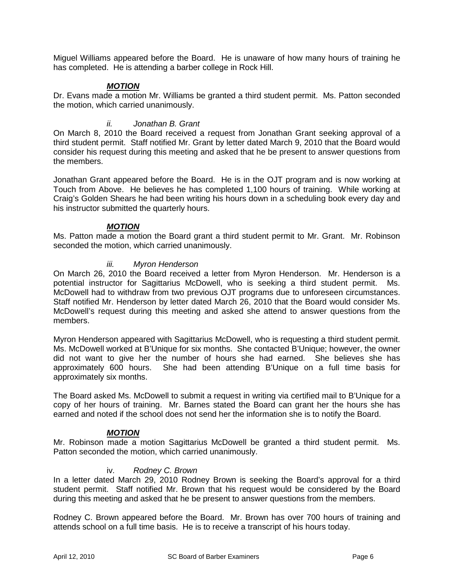Miguel Williams appeared before the Board. He is unaware of how many hours of training he has completed. He is attending a barber college in Rock Hill.

## *MOTION*

Dr. Evans made a motion Mr. Williams be granted a third student permit. Ms. Patton seconded the motion, which carried unanimously.

#### *ii. Jonathan B. Grant*

On March 8, 2010 the Board received a request from Jonathan Grant seeking approval of a third student permit. Staff notified Mr. Grant by letter dated March 9, 2010 that the Board would consider his request during this meeting and asked that he be present to answer questions from the members.

Jonathan Grant appeared before the Board. He is in the OJT program and is now working at Touch from Above. He believes he has completed 1,100 hours of training. While working at Craig's Golden Shears he had been writing his hours down in a scheduling book every day and his instructor submitted the quarterly hours.

#### *MOTION*

Ms. Patton made a motion the Board grant a third student permit to Mr. Grant. Mr. Robinson seconded the motion, which carried unanimously.

#### *iii. Myron Henderson*

On March 26, 2010 the Board received a letter from Myron Henderson. Mr. Henderson is a potential instructor for Sagittarius McDowell, who is seeking a third student permit. Ms. McDowell had to withdraw from two previous OJT programs due to unforeseen circumstances. Staff notified Mr. Henderson by letter dated March 26, 2010 that the Board would consider Ms. McDowell's request during this meeting and asked she attend to answer questions from the members.

Myron Henderson appeared with Sagittarius McDowell, who is requesting a third student permit. Ms. McDowell worked at B'Unique for six months. She contacted B'Unique; however, the owner did not want to give her the number of hours she had earned. She believes she has approximately 600 hours. She had been attending B'Unique on a full time basis for approximately six months.

The Board asked Ms. McDowell to submit a request in writing via certified mail to B'Unique for a copy of her hours of training. Mr. Barnes stated the Board can grant her the hours she has earned and noted if the school does not send her the information she is to notify the Board.

#### *MOTION*

Mr. Robinson made a motion Sagittarius McDowell be granted a third student permit. Ms. Patton seconded the motion, which carried unanimously.

#### iv. *Rodney C. Brown*

In a letter dated March 29, 2010 Rodney Brown is seeking the Board's approval for a third student permit. Staff notified Mr. Brown that his request would be considered by the Board during this meeting and asked that he be present to answer questions from the members.

Rodney C. Brown appeared before the Board. Mr. Brown has over 700 hours of training and attends school on a full time basis. He is to receive a transcript of his hours today.